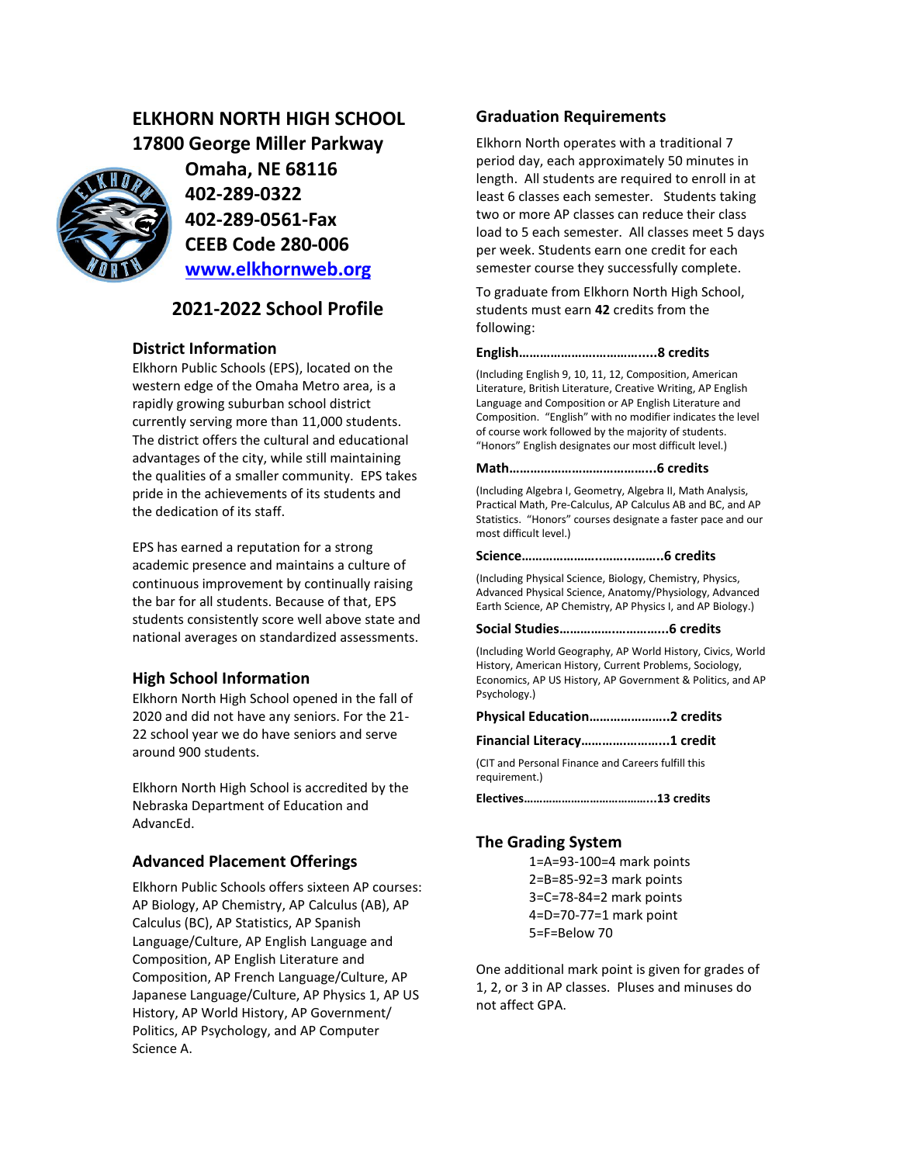# **ELKHORN NORTH HIGH SCHOOL 17800 George Miller Parkway**



**Omaha, NE 68116 402-289-0322 402-289-0561-Fax CEEB Code 280-006 [www.elkhornweb.org](http://www.elkhornweb.org/)**

# **2021-2022 School Profile**

# **District Information**

Elkhorn Public Schools (EPS), located on the western edge of the Omaha Metro area, is a rapidly growing suburban school district currently serving more than 11,000 students. The district offers the cultural and educational advantages of the city, while still maintaining the qualities of a smaller community. EPS takes pride in the achievements of its students and the dedication of its staff.

EPS has earned a reputation for a strong academic presence and maintains a culture of continuous improvement by continually raising the bar for all students. Because of that, EPS students consistently score well above state and national averages on standardized assessments.

### **High School Information**

Elkhorn North High School opened in the fall of 2020 and did not have any seniors. For the 21- 22 school year we do have seniors and serve around 900 students.

Elkhorn North High School is accredited by the Nebraska Department of Education and AdvancEd.

# **Advanced Placement Offerings**

Elkhorn Public Schools offers sixteen AP courses: AP Biology, AP Chemistry, AP Calculus (AB), AP Calculus (BC), AP Statistics, AP Spanish Language/Culture, AP English Language and Composition, AP English Literature and Composition, AP French Language/Culture, AP Japanese Language/Culture, AP Physics 1, AP US History, AP World History, AP Government/ Politics, AP Psychology, and AP Computer Science A.

# **Graduation Requirements**

Elkhorn North operates with a traditional 7 period day, each approximately 50 minutes in length. All students are required to enroll in at least 6 classes each semester. Students taking two or more AP classes can reduce their class load to 5 each semester. All classes meet 5 days per week. Students earn one credit for each semester course they successfully complete.

To graduate from Elkhorn North High School, students must earn **42** credits from the following:

#### **English………………….………….....8 credits**

(Including English 9, 10, 11, 12, Composition, American Literature, British Literature, Creative Writing, AP English Language and Composition or AP English Literature and Composition. "English" with no modifier indicates the level of course work followed by the majority of students. "Honors" English designates our most difficult level.)

#### **Math…………………………………...6 credits**

(Including Algebra I, Geometry, Algebra II, Math Analysis, Practical Math, Pre-Calculus, AP Calculus AB and BC, and AP Statistics. "Honors" courses designate a faster pace and our most difficult level.)

#### **Science…………………..……...……..6 credits**

(Including Physical Science, Biology, Chemistry, Physics, Advanced Physical Science, Anatomy/Physiology, Advanced Earth Science, AP Chemistry, AP Physics I, and AP Biology.)

#### **Social Studies…………….…………...6 credits**

(Including World Geography, AP World History, Civics, World History, American History, Current Problems, Sociology, Economics, AP US History, AP Government & Politics, and AP Psychology.)

**Physical Education…………………..2 credits**

**Financial Literacy………….………...1 credit**

(CIT and Personal Finance and Careers fulfill this requirement.)

**Electives…………………………………...13 credits**

### **The Grading System**

1=A=93-100=4 mark points 2=B=85-92=3 mark points 3=C=78-84=2 mark points 4=D=70-77=1 mark point 5=F=Below 70

One additional mark point is given for grades of 1, 2, or 3 in AP classes. Pluses and minuses do not affect GPA.